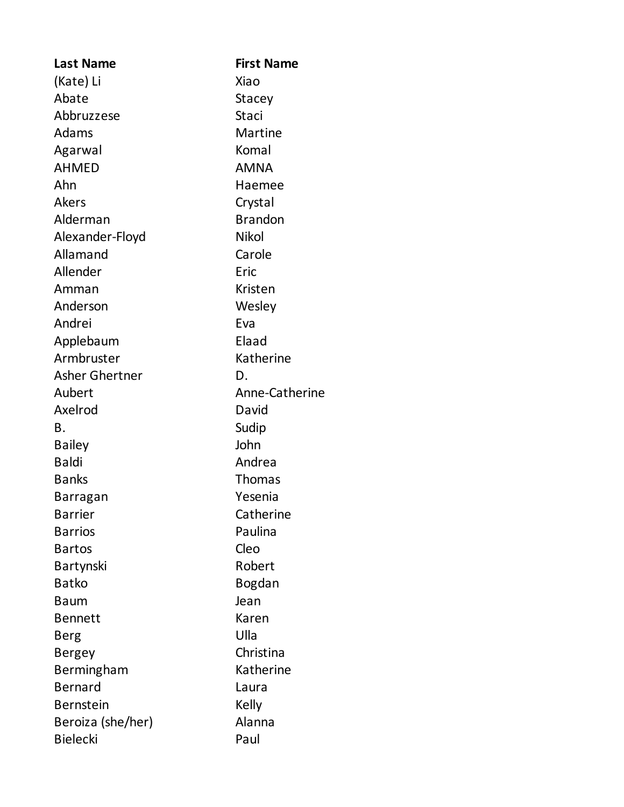| <b>Last Name</b>      | <b>First Name</b> |  |
|-----------------------|-------------------|--|
| (Kate) Li             | Xiao              |  |
| Abate                 | Stacey            |  |
| Abbruzzese            | Staci             |  |
| Adams                 | Martine           |  |
| Agarwal               | Komal             |  |
| <b>AHMED</b>          | <b>AMNA</b>       |  |
| Ahn                   | Haemee            |  |
| <b>Akers</b>          | Crystal           |  |
| Alderman              | <b>Brandon</b>    |  |
| Alexander-Floyd       | <b>Nikol</b>      |  |
| Allamand              | Carole            |  |
| Allender              | Eric              |  |
| Amman                 | Kristen           |  |
| Anderson              | Wesley            |  |
| Andrei                | Eva               |  |
| Applebaum             | Elaad             |  |
| Armbruster            | Katherine         |  |
| <b>Asher Ghertner</b> | D.                |  |
| Aubert                | Anne-Catherine    |  |
| Axelrod               | David             |  |
| Β.                    | Sudip             |  |
| <b>Bailey</b>         | John              |  |
| <b>Baldi</b>          | Andrea            |  |
| <b>Banks</b>          | Thomas            |  |
| Barragan              | Yesenia           |  |
| <b>Barrier</b>        | Catherine         |  |
| <b>Barrios</b>        | Paulina           |  |
| <b>Bartos</b>         | Cleo              |  |
| Bartynski             | Robert            |  |
| <b>Batko</b>          | <b>Bogdan</b>     |  |
| Baum                  | Jean              |  |
| <b>Bennett</b>        | Karen             |  |
| Berg                  | Ulla              |  |
| <b>Bergey</b>         | Christina         |  |
| Bermingham            | Katherine         |  |
| <b>Bernard</b>        | Laura             |  |
| <b>Bernstein</b>      | Kelly             |  |
| Beroiza (she/her)     | Alanna            |  |
| <b>Bielecki</b>       | Paul              |  |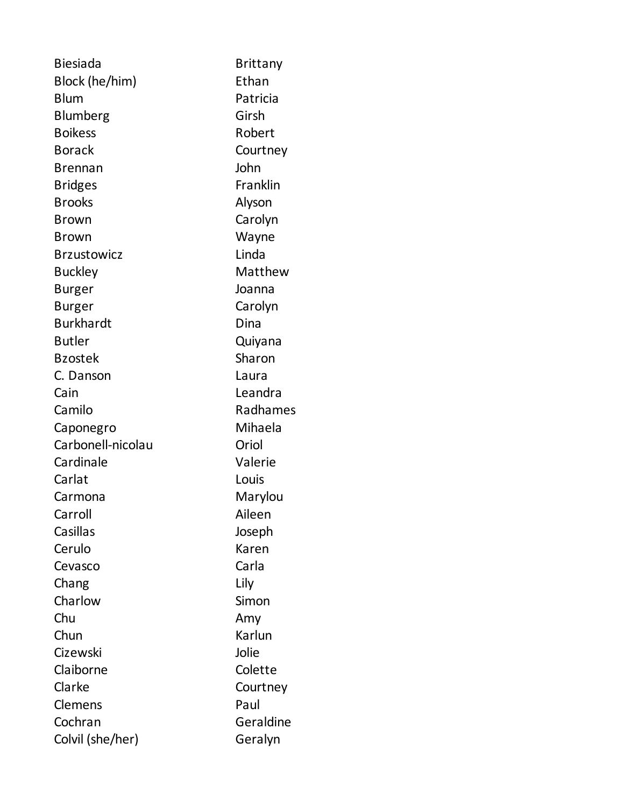| <b>Biesiada</b>    | <b>Brittany</b> |
|--------------------|-----------------|
| Block (he/him)     | Ethan           |
| <b>Blum</b>        | Patricia        |
| Blumberg           | Girsh           |
| <b>Boikess</b>     | Robert          |
| <b>Borack</b>      | Courtney        |
| <b>Brennan</b>     | John            |
| <b>Bridges</b>     | Franklin        |
| <b>Brooks</b>      | Alyson          |
| <b>Brown</b>       | Carolyn         |
| <b>Brown</b>       | Wayne           |
| <b>Brzustowicz</b> | Linda           |
| <b>Buckley</b>     | Matthew         |
| <b>Burger</b>      | Joanna          |
| <b>Burger</b>      | Carolyn         |
| <b>Burkhardt</b>   | Dina            |
| <b>Butler</b>      | Quiyana         |
| <b>Bzostek</b>     | Sharon          |
| C. Danson          | Laura           |
| Cain               | Leandra         |
| Camilo             | Radhames        |
| Caponegro          | Mihaela         |
| Carbonell-nicolau  | Oriol           |
| Cardinale          | Valerie         |
| Carlat             | Louis           |
| Carmona            | Marylou         |
| Carroll            | Aileen          |
| Casillas           | Joseph          |
| Cerulo             | Karen           |
| Cevasco            | Carla           |
| Chang              | Lily            |
| Charlow            | Simon           |
| Chu                | Amy             |
| Chun               | Karlun          |
| Cizewski           | Jolie           |
| Claiborne          | Colette         |
| Clarke             | Courtney        |
| Clemens            | Paul            |
| Cochran            | Geraldine       |
| Colvil (she/her)   | Geralyn         |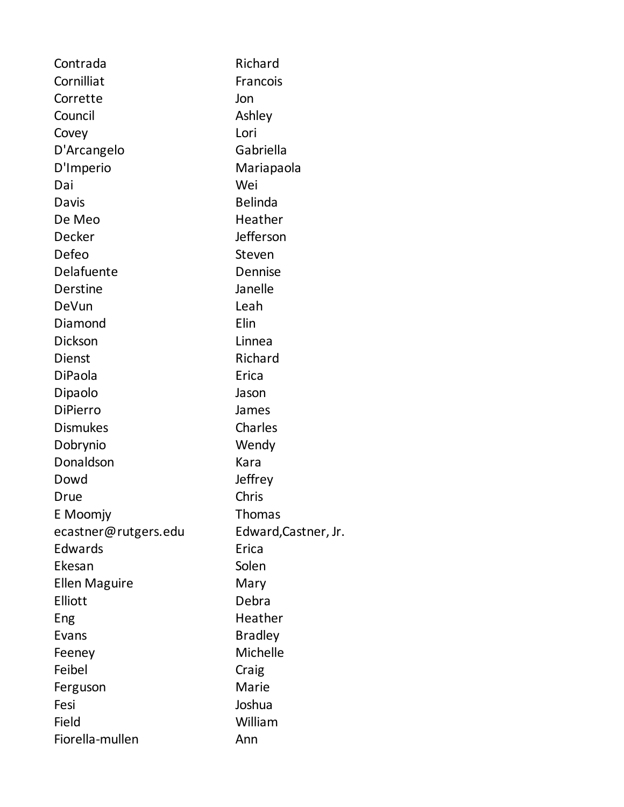| Contrada             | Richard              |  |
|----------------------|----------------------|--|
| Cornilliat           | Francois             |  |
| Corrette             | Jon                  |  |
| Council              | Ashley               |  |
| Covey                | Lori                 |  |
| D'Arcangelo          | Gabriella            |  |
| D'Imperio            | Mariapaola           |  |
| Dai                  | Wei                  |  |
| Davis                | <b>Belinda</b>       |  |
| De Meo               | Heather              |  |
| Decker               | Jefferson            |  |
| Defeo                | Steven               |  |
| Delafuente           | Dennise              |  |
| Derstine             | Janelle              |  |
| DeVun                | Leah                 |  |
| Diamond              | Elin                 |  |
| <b>Dickson</b>       | Linnea               |  |
| Dienst               | Richard              |  |
| DiPaola              | Erica                |  |
| Dipaolo              | Jason                |  |
| <b>DiPierro</b>      | James                |  |
| <b>Dismukes</b>      | Charles              |  |
| Dobrynio             | Wendy                |  |
| Donaldson            | Kara                 |  |
| Dowd                 | Jeffrey              |  |
| Drue                 | Chris                |  |
| E Moomjy             | <b>Thomas</b>        |  |
| ecastner@rutgers.edu | Edward, Castner, Jr. |  |
| Edwards              | Erica                |  |
| Ekesan               | Solen                |  |
| <b>Ellen Maguire</b> | Mary                 |  |
| Elliott              | Debra                |  |
| Eng                  | Heather              |  |
| Evans                | <b>Bradley</b>       |  |
| Feeney               | Michelle             |  |
| Feibel               | Craig                |  |
| Ferguson             | Marie                |  |
| Fesi                 | Joshua               |  |
| Field                | William              |  |
| Fiorella-mullen      | Ann                  |  |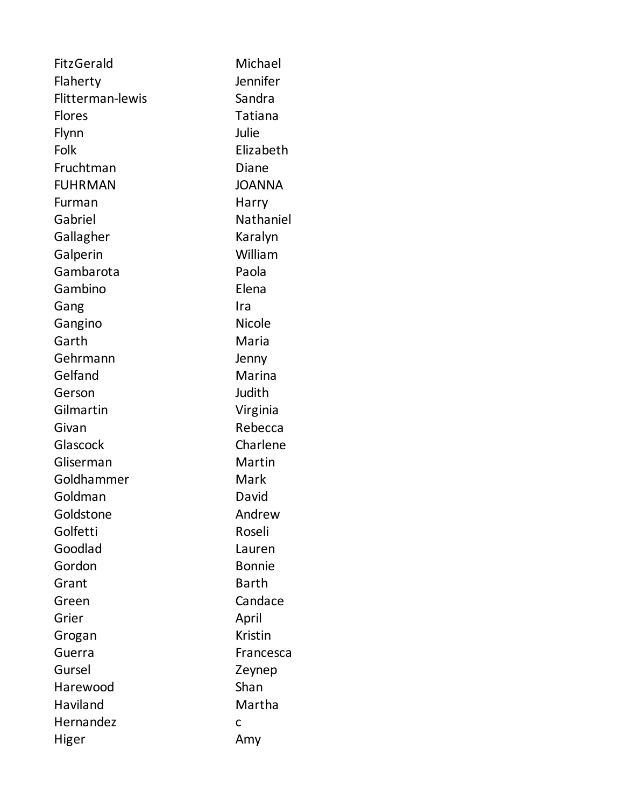| FitzGerald       | Michael        |
|------------------|----------------|
| Flaherty         | Jennifer       |
| Flitterman-lewis | Sandra         |
| <b>Flores</b>    | Tatiana        |
| Flynn            | Julie          |
| Folk             | Elizabeth      |
| Fruchtman        | Diane          |
| <b>FUHRMAN</b>   | <b>JOANNA</b>  |
| Furman           | Harry          |
| Gabriel          | Nathaniel      |
| Gallagher        | Karalyn        |
| Galperin         | William        |
| Gambarota        | Paola          |
| Gambino          | Elena          |
| Gang             | Ira            |
| Gangino          | <b>Nicole</b>  |
| Garth            | Maria          |
| Gehrmann         | Jenny          |
| Gelfand          | Marina         |
| Gerson           | Judith         |
| Gilmartin        | Virginia       |
| Givan            | Rebecca        |
| Glascock         | Charlene       |
| Gliserman        | Martin         |
| Goldhammer       | Mark           |
| Goldman          | David          |
| Goldstone        | Andrew         |
| Golfetti         | Roseli         |
| Goodlad          | Lauren         |
| Gordon           | <b>Bonnie</b>  |
| Grant            | Barth          |
| Green            | Candace        |
| Grier            | April          |
| Grogan           | <b>Kristin</b> |
| Guerra           | Francesca      |
| Gursel           | Zeynep         |
| Harewood         | Shan           |
| Haviland         | Martha         |
| Hernandez        | C              |
| Higer            | Amy            |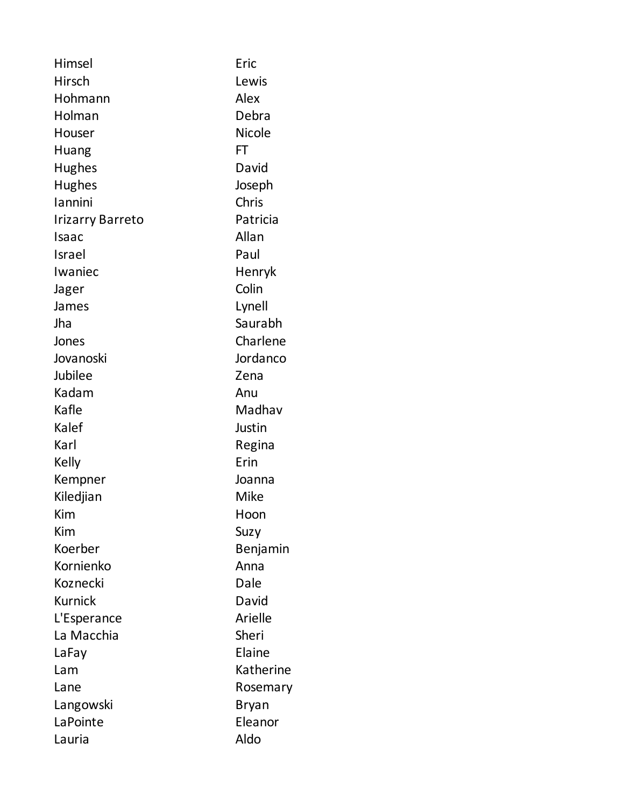| Himsel                  | Eric          |  |
|-------------------------|---------------|--|
| <b>Hirsch</b>           | Lewis         |  |
| Hohmann                 | Alex          |  |
| Holman                  | Debra         |  |
| Houser                  | <b>Nicole</b> |  |
| Huang                   | FT            |  |
| <b>Hughes</b>           | David         |  |
| <b>Hughes</b>           | Joseph        |  |
| lannini                 | Chris         |  |
| <b>Irizarry Barreto</b> | Patricia      |  |
| Isaac                   | Allan         |  |
| Israel                  | Paul          |  |
| Iwaniec                 | Henryk        |  |
| Jager                   | Colin         |  |
| James                   | Lynell        |  |
| Jha                     | Saurabh       |  |
| Jones                   | Charlene      |  |
| Jovanoski               | Jordanco      |  |
| Jubilee                 | Zena          |  |
| Kadam                   | Anu           |  |
| Kafle                   | Madhav        |  |
| Kalef                   | Justin        |  |
| Karl                    | Regina        |  |
| Kelly                   | Erin          |  |
| Kempner                 | Joanna        |  |
| Kiledjian               | <b>Mike</b>   |  |
| Kim                     | Hoon          |  |
| Kim                     | Suzy          |  |
| Koerber                 | Benjamin      |  |
| Kornienko               | Anna          |  |
| Koznecki                | Dale          |  |
| <b>Kurnick</b>          | David         |  |
| L'Esperance             | Arielle       |  |
| La Macchia              | Sheri         |  |
| LaFay                   | Elaine        |  |
| Lam                     | Katherine     |  |
| Lane                    | Rosemary      |  |
| Langowski               | Bryan         |  |
| LaPointe                | Eleanor       |  |
| Lauria                  | Aldo          |  |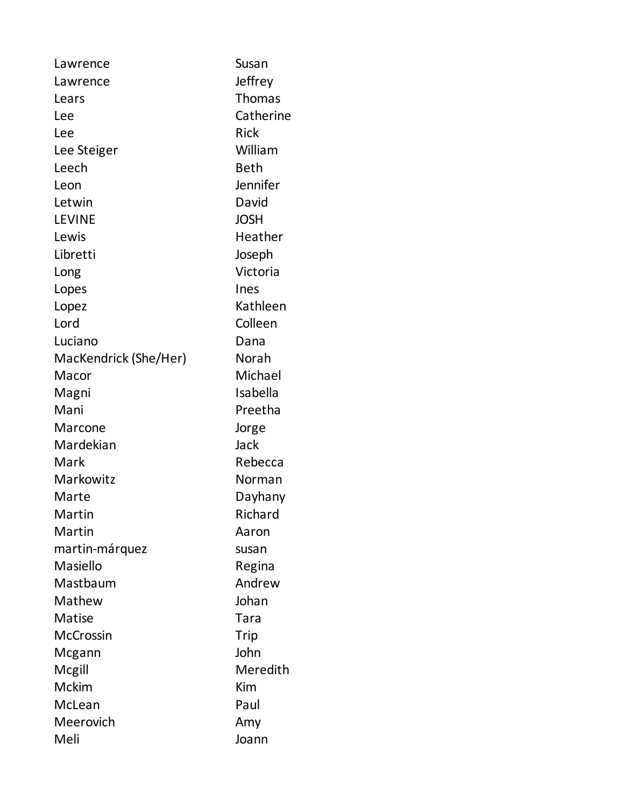| Lawrence              | Susan       |
|-----------------------|-------------|
| Lawrence              | Jeffrey     |
| Lears                 | Thomas      |
| Lee                   | Catherine   |
| Lee                   | <b>Rick</b> |
| Lee Steiger           | William     |
| Leech                 | <b>Beth</b> |
| Leon                  | Jennifer    |
| Letwin                | David       |
| <b>LEVINE</b>         | <b>JOSH</b> |
| Lewis                 | Heather     |
| Libretti              | Joseph      |
| Long                  | Victoria    |
| Lopes                 | Ines        |
| Lopez                 | Kathleen    |
| Lord                  | Colleen     |
| Luciano               | Dana        |
| MacKendrick (She/Her) | Norah       |
| Macor                 | Michael     |
| Magni                 | Isabella    |
| Mani                  | Preetha     |
| Marcone               | Jorge       |
| Mardekian             | Jack        |
| Mark                  | Rebecca     |
| Markowitz             | Norman      |
| Marte                 | Dayhany     |
| Martin                | Richard     |
| Martin                | Aaron       |
| martin-márquez        | susan       |
| Masiello              | Regina      |
| Mastbaum              | Andrew      |
| Mathew                | Johan       |
| Matise                | Tara        |
| <b>McCrossin</b>      | Trip        |
| Mcgann                | John        |
| Mcgill                | Meredith    |
| <b>Mckim</b>          | Kim         |
| McLean                | Paul        |
| Meerovich             | Amy         |
| Meli                  | Joann       |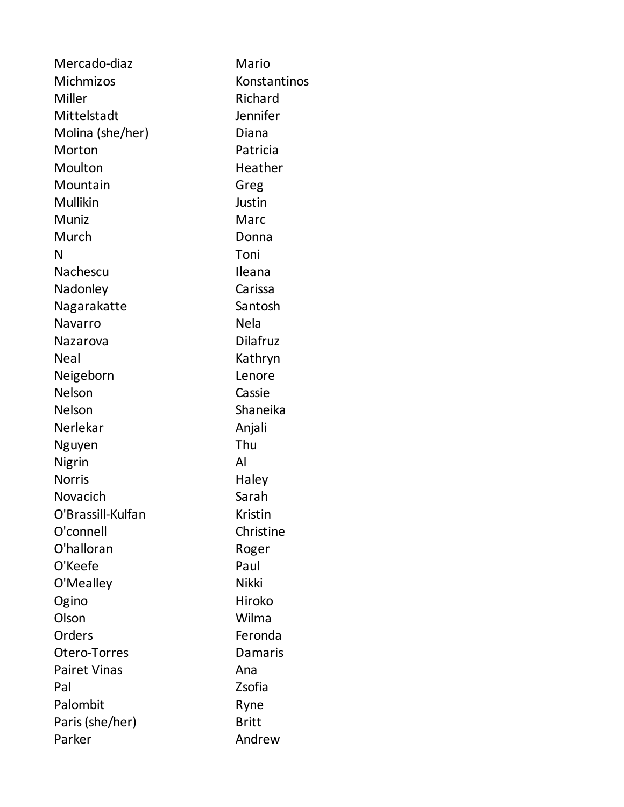| Mercado-diaz        | Mario           |  |
|---------------------|-----------------|--|
| Michmizos           | Konstantinos    |  |
| Miller              | Richard         |  |
| Mittelstadt         | Jennifer        |  |
| Molina (she/her)    | Diana           |  |
| Morton              | Patricia        |  |
| Moulton             | Heather         |  |
| Mountain            | Greg            |  |
| Mullikin            | Justin          |  |
| Muniz               | Marc            |  |
| Murch               | Donna           |  |
| N                   | Toni            |  |
| Nachescu            | Ileana          |  |
| Nadonley            | Carissa         |  |
| Nagarakatte         | Santosh         |  |
| Navarro             | <b>Nela</b>     |  |
| Nazarova            | <b>Dilafruz</b> |  |
| <b>Neal</b>         | Kathryn         |  |
| Neigeborn           | Lenore          |  |
| <b>Nelson</b>       | Cassie          |  |
| <b>Nelson</b>       | Shaneika        |  |
| Nerlekar            | Anjali          |  |
| Nguyen              | Thu             |  |
| Nigrin              | Al              |  |
| <b>Norris</b>       | Haley           |  |
| Novacich            | Sarah           |  |
| O'Brassill-Kulfan   | Kristin         |  |
| O'connell           | Christine       |  |
| O'halloran          | Roger           |  |
| O'Keefe             | Paul            |  |
| O'Mealley           | <b>Nikki</b>    |  |
| Ogino               | Hiroko          |  |
| Olson               | Wilma           |  |
| Orders              | Feronda         |  |
| Otero-Torres        | Damaris         |  |
| <b>Pairet Vinas</b> | Ana             |  |
| Pal                 | Zsofia          |  |
| Palombit            | Ryne            |  |
| Paris (she/her)     | <b>Britt</b>    |  |
| Parker              | Andrew          |  |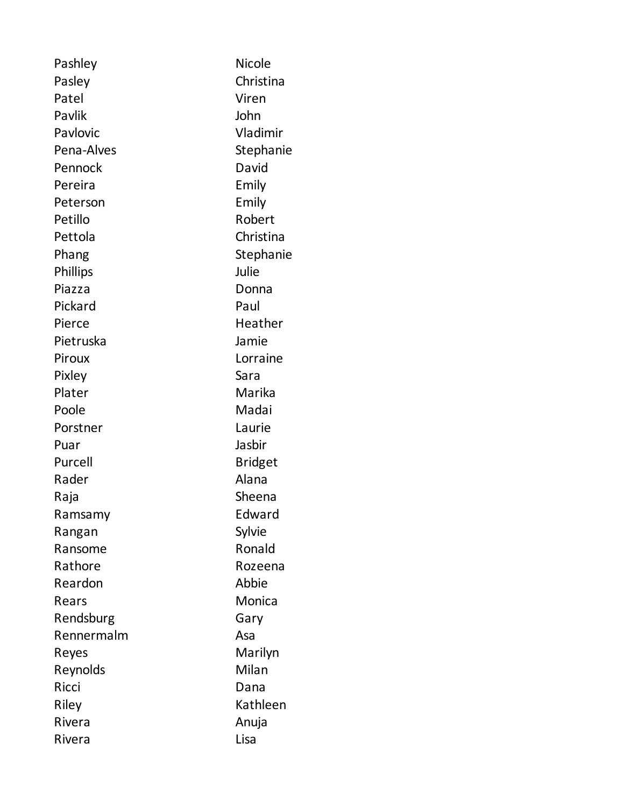| Pashley         | <b>Nicole</b>  |
|-----------------|----------------|
| Pasley          | Christina      |
| Patel           | Viren          |
| Pavlik          | John           |
| Pavlovic        | Vladimir       |
| Pena-Alves      | Stephanie      |
| Pennock         | David          |
| Pereira         | Emily          |
| Peterson        | Emily          |
| Petillo         | Robert         |
| Pettola         | Christina      |
| Phang           | Stephanie      |
| <b>Phillips</b> | Julie          |
| Piazza          | Donna          |
| Pickard         | Paul           |
| Pierce          | Heather        |
| Pietruska       | Jamie          |
| Piroux          | Lorraine       |
| Pixley          | Sara           |
| Plater          | Marika         |
| Poole           | Madai          |
| Porstner        | Laurie         |
| Puar            | Jasbir         |
| Purcell         | <b>Bridget</b> |
| Rader           | Alana          |
| Raja            | Sheena         |
| Ramsamy         | Edward         |
| Rangan          | Sylvie         |
| Ransome         | Ronald         |
| Rathore         | Rozeena        |
| Reardon         | Abbie          |
| Rears           | Monica         |
| Rendsburg       | Gary           |
| Rennermalm      | Asa            |
| Reyes           | Marilyn        |
| Reynolds        | Milan          |
| Ricci           | Dana           |
| Riley           | Kathleen       |
| Rivera          | Anuja          |
| Rivera          | Lisa           |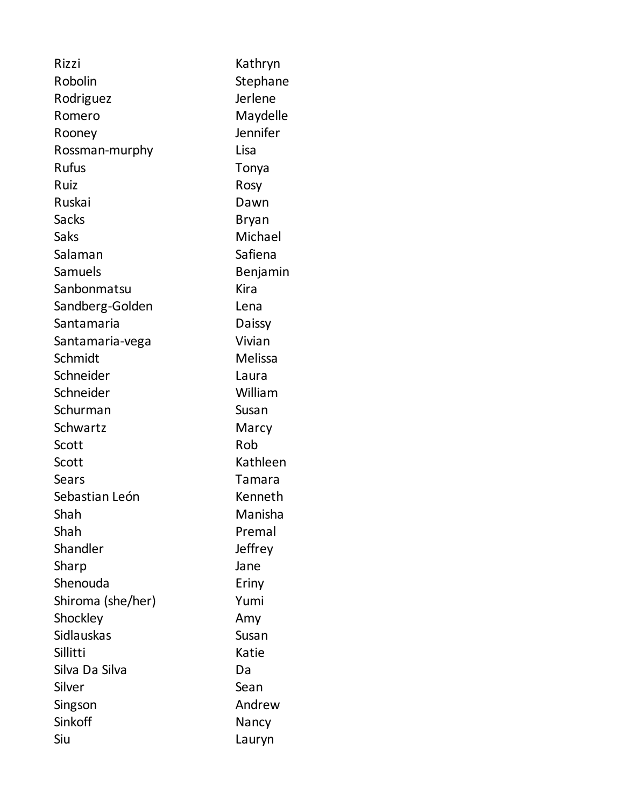| Rizzi             | Kathryn      |
|-------------------|--------------|
| Robolin           | Stephane     |
| Rodriguez         | Jerlene      |
| Romero            | Maydelle     |
| Rooney            | Jennifer     |
| Rossman-murphy    | Lisa         |
| <b>Rufus</b>      | Tonya        |
| Ruiz              | Rosy         |
| Ruskai            | Dawn         |
| <b>Sacks</b>      | <b>Bryan</b> |
| Saks              | Michael      |
| Salaman           | Safiena      |
| Samuels           | Benjamin     |
| Sanbonmatsu       | Kira         |
| Sandberg-Golden   | Lena         |
| Santamaria        | Daissy       |
| Santamaria-vega   | Vivian       |
| Schmidt           | Melissa      |
| Schneider         | Laura        |
| Schneider         | William      |
| Schurman          | Susan        |
| Schwartz          | Marcy        |
| Scott             | Rob          |
| Scott             | Kathleen     |
| Sears             | Tamara       |
| Sebastian León    | Kenneth      |
| Shah              | Manisha      |
| Shah              | Premal       |
| Shandler          | Jeffrey      |
| Sharp             | Jane         |
| Shenouda          | Eriny        |
| Shiroma (she/her) | Yumi         |
| Shockley          | Amy          |
| <b>Sidlauskas</b> | Susan        |
| Sillitti          | Katie        |
| Silva Da Silva    | Da           |
| Silver            | Sean         |
| Singson           | Andrew       |
| Sinkoff           | Nancy        |
| Siu               | Lauryn       |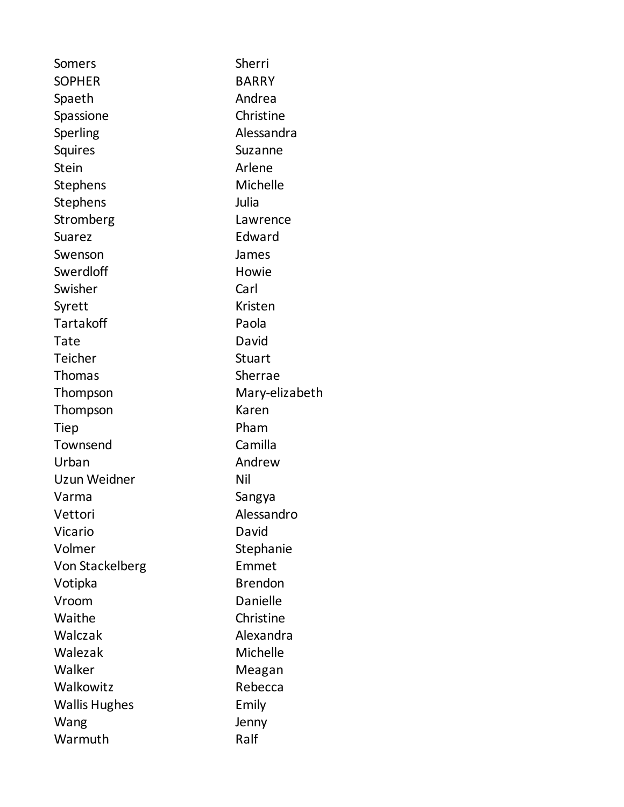Somers Sherri SOPHER BARRY Spaeth Andrea Spassione Christine Sperling **Alessandra** Squires Suzanne Stein Arlene Stephens Michelle Stephens Julia Stromberg Lawrence Suarez Edward Swenson James Swerdloff Howie Swisher Carl Syrett Kristen Tartakoff Paola Tate David Teicher Stuart Thomas Sherrae Thompson Mary-elizabeth Thompson Karen Tiep Pham Townsend Camilla Urban Andrew Uzun Weidner Nil Varma Sangya Vettori Alessandro Vicario David Volmer Stephanie Von Stackelberg Emmet Votipka Brendon Vroom Danielle Waithe Christine Walczak **Alexandra** Walezak Michelle Walker Meagan Walkowitz Rebecca Wallis Hughes **Emily** Wang **Jenny** Jenny Warmuth Ralf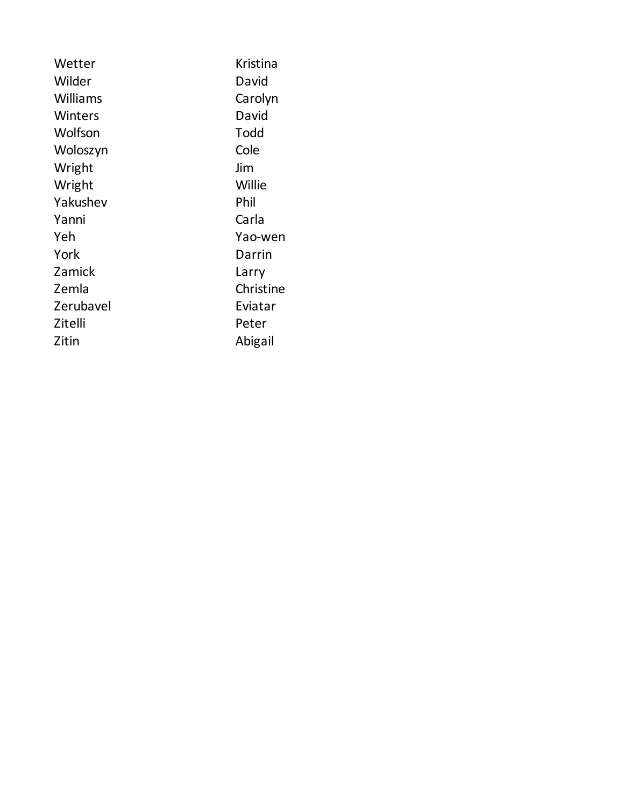| Wetter    | Kristina  |
|-----------|-----------|
| Wilder    | David     |
| Williams  | Carolyn   |
| Winters   | David     |
| Wolfson   | Todd      |
| Woloszyn  | Cole      |
| Wright    | Jim       |
| Wright    | Willie    |
| Yakushev  | Phil      |
| Yanni     | Carla     |
| Yeh       | Yao-wen   |
| York      | Darrin    |
| Zamick    | Larry     |
| Zemla     | Christine |
| Zerubavel | Eviatar   |
| Zitelli   | Peter     |
| Zitin     | Abigail   |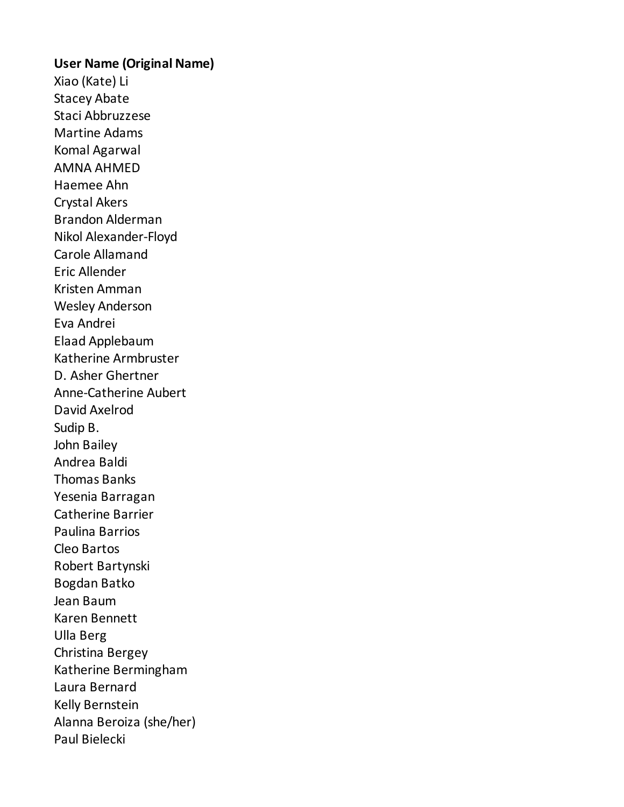## **User Name (Original Name)**

Xiao (Kate) Li Stacey Abate Staci Abbruzzese Martine Adams Komal Agarwal AMNA AHMED Haemee Ahn Crystal Akers Brandon Alderman Nikol Alexander-Floyd Carole Allamand Eric Allender Kristen Amman Wesley Anderson Eva Andrei Elaad Applebaum Katherine Armbruster D. Asher Ghertner Anne-Catherine Aubert David Axelrod Sudip B. John Bailey Andrea Baldi Thomas Banks Yesenia Barragan Catherine Barrier Paulina Barrios Cleo Bartos Robert Bartynski Bogdan Batko Jean Baum Karen Bennett Ulla Berg Christina Bergey Katherine Bermingham Laura Bernard Kelly Bernstein Alanna Beroiza (she/her) Paul Bielecki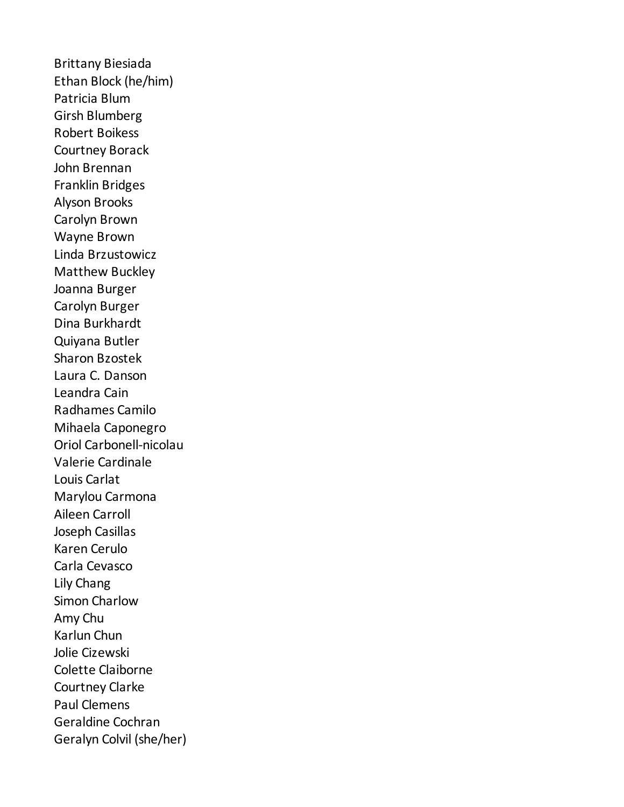Brittany Biesiada Ethan Block (he/him) Patricia Blum Girsh Blumberg Robert Boikess Courtney Borack John Brennan Franklin Bridges Alyson Brooks Carolyn Brown Wayne Brown Linda Brzustowicz Matthew Buckley Joanna Burger Carolyn Burger Dina Burkhardt Quiyana Butler Sharon Bzostek Laura C. Danson Leandra Cain Radhames Camilo Mihaela Caponegro Oriol Carbonell-nicolau Valerie Cardinale Louis Carlat Marylou Carmona Aileen Carroll Joseph Casillas Karen Cerulo Carla Cevasco Lily Chang Simon Charlow Amy Chu Karlun Chun Jolie Cizewski Colette Claiborne Courtney Clarke Paul Clemens Geraldine Cochran Geralyn Colvil (she/her)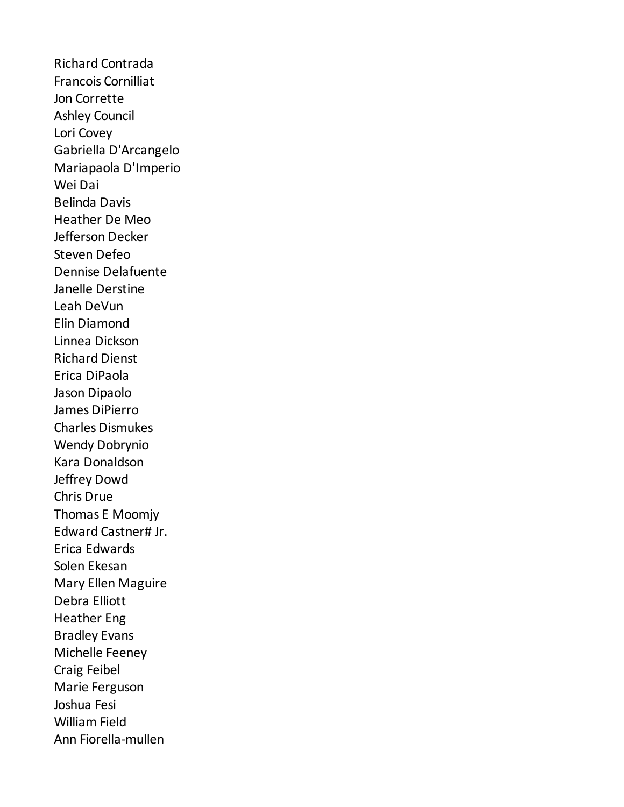Richard Contrada Francois Cornilliat Jon Corrette Ashley Council Lori Covey Gabriella D'Arcangelo Mariapaola D'Imperio Wei Dai Belinda Davis Heather De Meo Jefferson Decker Steven Defeo Dennise Delafuente Janelle Derstine Leah DeVun Elin Diamond Linnea Dickson Richard Dienst Erica DiPaola Jason Dipaolo James DiPierro Charles Dismukes Wendy Dobrynio Kara Donaldson Jeffrey Dowd Chris Drue Thomas E Moomjy Edward Castner# Jr. Erica Edwards Solen Ekesan Mary Ellen Maguire Debra Elliott Heather Eng Bradley Evans Michelle Feeney Craig Feibel Marie Ferguson Joshua Fesi William Field Ann Fiorella-mullen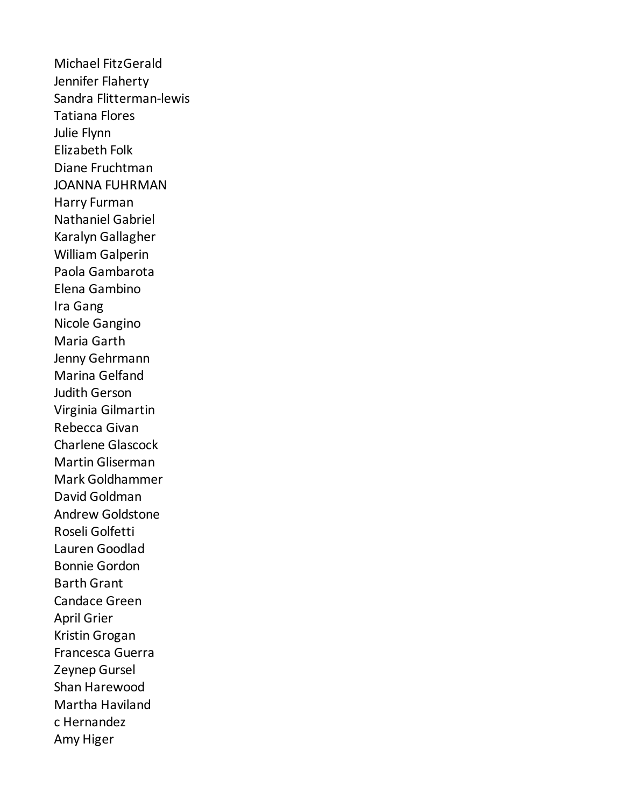Michael FitzGerald Jennifer Flaherty Sandra Flitterman-lewis Tatiana Flores Julie Flynn Elizabeth Folk Diane Fruchtman JOANNA FUHRMAN Harry Furman Nathaniel Gabriel Karalyn Gallagher William Galperin Paola Gambarota Elena Gambino Ira Gang Nicole Gangino Maria Garth Jenny Gehrmann Marina Gelfand Judith Gerson Virginia Gilmartin Rebecca Givan Charlene Glascock Martin Gliserman Mark Goldhammer David Goldman Andrew Goldstone Roseli Golfetti Lauren Goodlad Bonnie Gordon Barth Grant Candace Green April Grier Kristin Grogan Francesca Guerra Zeynep Gursel Shan Harewood Martha Haviland c Hernandez Amy Higer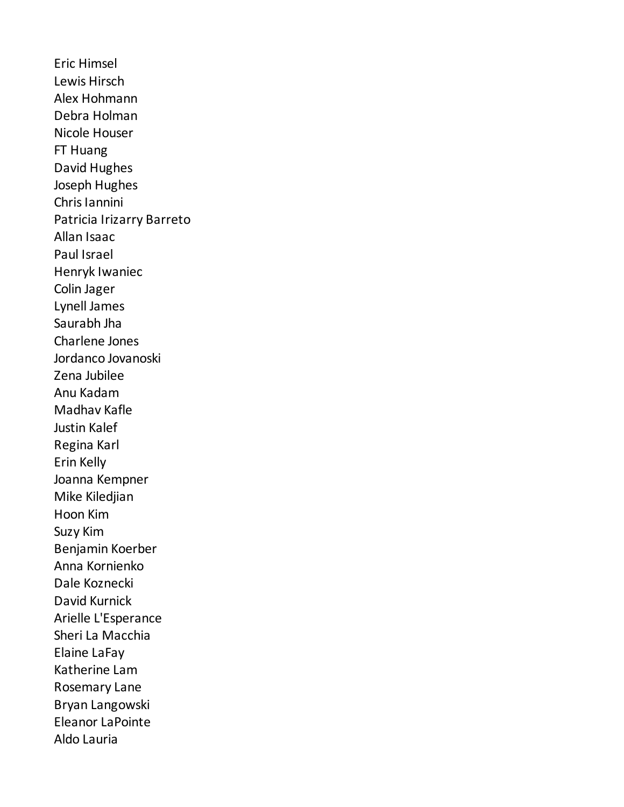Eric Himsel Lewis Hirsch Alex Hohmann Debra Holman Nicole Houser FT Huang David Hughes Joseph Hughes Chris Iannini Patricia Irizarry Barreto Allan Isaac Paul Israel Henryk Iwaniec Colin Jager Lynell James Saurabh Jha Charlene Jones Jordanco Jovanoski Zena Jubilee Anu Kadam Madhav Kafle Justin Kalef Regina Karl Erin Kelly Joanna Kempner Mike Kiledjian Hoon Kim Suzy Kim Benjamin Koerber Anna Kornienko Dale Koznecki David Kurnick Arielle L'Esperance Sheri La Macchia Elaine LaFay Katherine Lam Rosemary Lane Bryan Langowski Eleanor LaPointe Aldo Lauria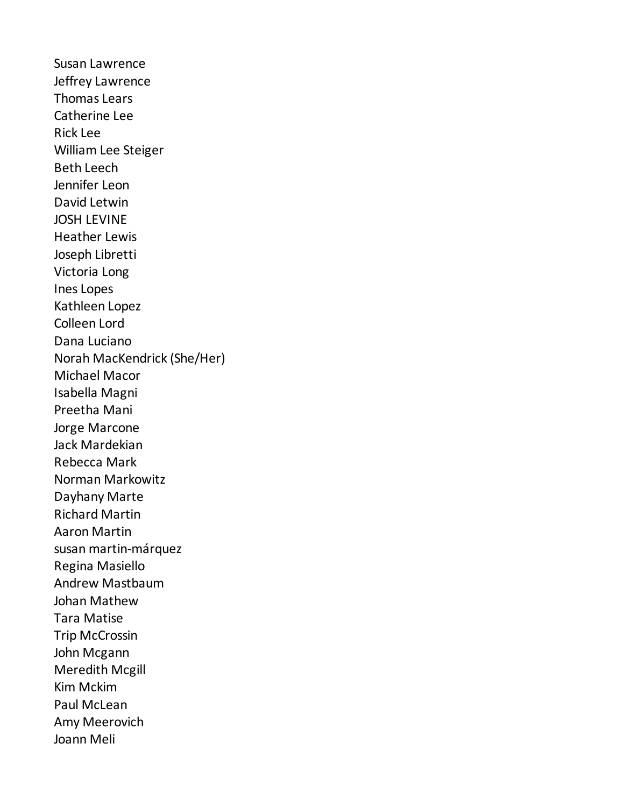Susan Lawrence Jeffrey Lawrence Thomas Lears Catherine Lee Rick Lee William Lee Steiger Beth Leech Jennifer Leon David Letwin JOSH LEVINE Heather Lewis Joseph Libretti Victoria Long Ines Lopes Kathleen Lopez Colleen Lord Dana Luciano Norah MacKendrick (She/Her) Michael Macor Isabella Magni Preetha Mani Jorge Marcone Jack Mardekian Rebecca Mark Norman Markowitz Dayhany Marte Richard Martin Aaron Martin susan martin-márquez Regina Masiello Andrew Mastbaum Johan Mathew Tara Matise Trip McCrossin John Mcgann Meredith Mcgill Kim Mckim Paul McLean Amy Meerovich Joann Meli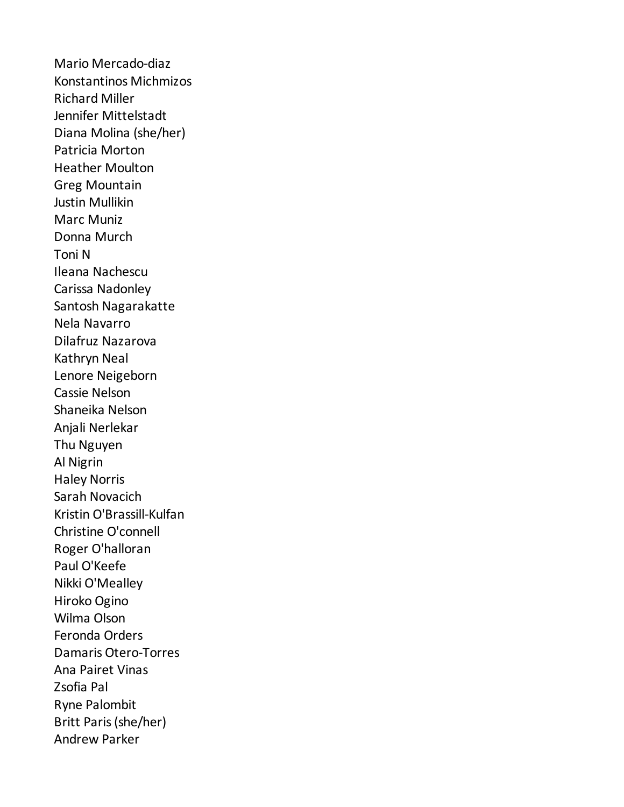Mario Mercado-diaz Konstantinos Michmizos Richard Miller Jennifer Mittelstadt Diana Molina (she/her) Patricia Morton Heather Moulton Greg Mountain Justin Mullikin Marc Muniz Donna Murch Toni N Ileana Nachescu Carissa Nadonley Santosh Nagarakatte Nela Navarro Dilafruz Nazarova Kathryn Neal Lenore Neigeborn Cassie Nelson Shaneika Nelson Anjali Nerlekar Thu Nguyen Al Nigrin Haley Norris Sarah Novacich Kristin O'Brassill-Kulfan Christine O'connell Roger O'halloran Paul O'Keefe Nikki O'Mealley Hiroko Ogino Wilma Olson Feronda Orders Damaris Otero-Torres Ana Pairet Vinas Zsofia Pal Ryne Palombit Britt Paris (she/her) Andrew Parker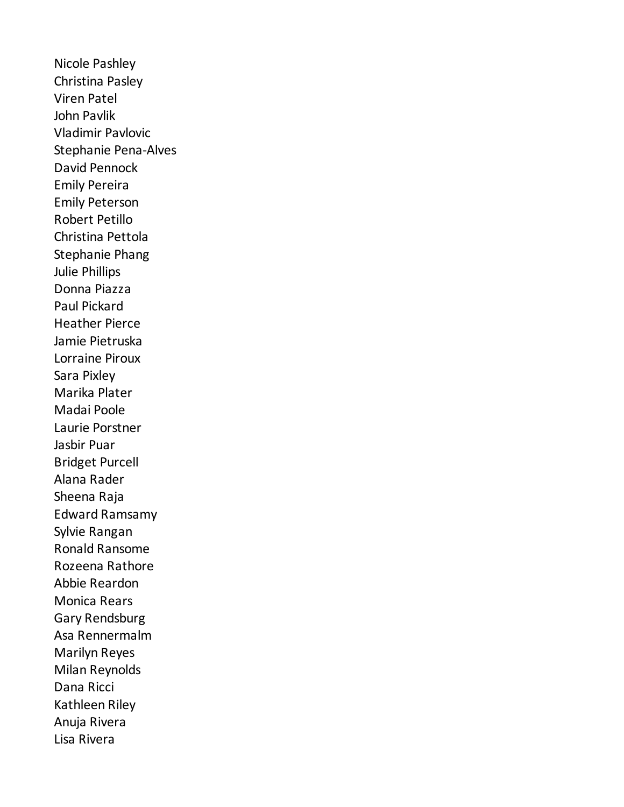Nicole Pashley Christina Pasley Viren Patel John Pavlik Vladimir Pavlovic Stephanie Pena-Alves David Pennock Emily Pereira Emily Peterson Robert Petillo Christina Pettola Stephanie Phang Julie Phillips Donna Piazza Paul Pickard Heather Pierce Jamie Pietruska Lorraine Piroux Sara Pixley Marika Plater Madai Poole Laurie Porstner Jasbir Puar Bridget Purcell Alana Rader Sheena Raja Edward Ramsamy Sylvie Rangan Ronald Ransome Rozeena Rathore Abbie Reardon Monica Rears Gary Rendsburg Asa Rennermalm Marilyn Reyes Milan Reynolds Dana Ricci Kathleen Riley Anuja Rivera Lisa Rivera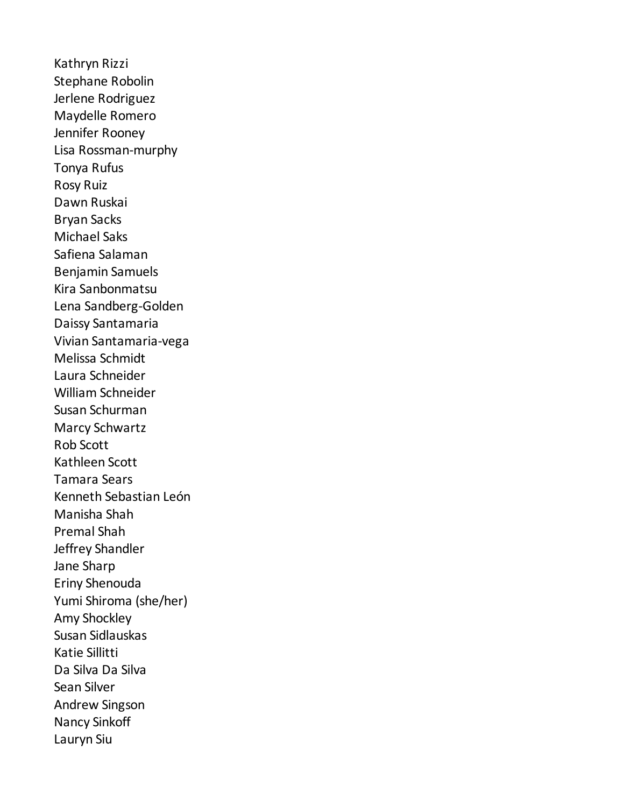Kathryn Rizzi Stephane Robolin Jerlene Rodriguez Maydelle Romero Jennifer Rooney Lisa Rossman-murphy Tonya Rufus Rosy Ruiz Dawn Ruskai Bryan Sacks Michael Saks Safiena Salaman Benjamin Samuels Kira Sanbonmatsu Lena Sandberg-Golden Daissy Santamaria Vivian Santamaria-vega Melissa Schmidt Laura Schneider William Schneider Susan Schurman Marcy Schwartz Rob Scott Kathleen Scott Tamara Sears Kenneth Sebastian León Manisha Shah Premal Shah Jeffrey Shandler Jane Sharp Eriny Shenouda Yumi Shiroma (she/her) Amy Shockley Susan Sidlauskas Katie Sillitti Da Silva Da Silva Sean Silver Andrew Singson Nancy Sinkoff Lauryn Siu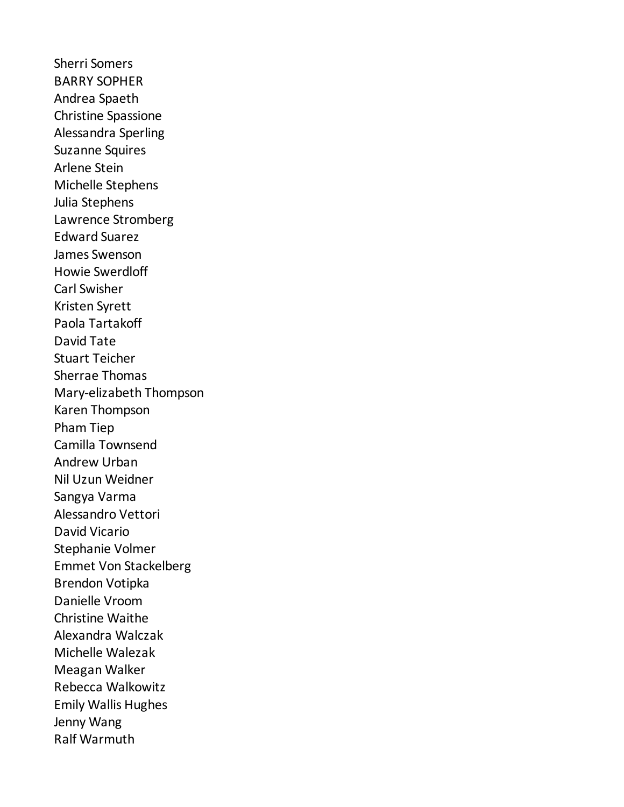Sherri Somers BARRY SOPHER Andrea Spaeth Christine Spassione Alessandra Sperling Suzanne Squires Arlene Stein Michelle Stephens Julia Stephens Lawrence Stromberg Edward Suarez James Swenson Howie Swerdloff Carl Swisher Kristen Syrett Paola Tartakoff David Tate Stuart Teicher Sherrae Thomas Mary-elizabeth Thompson Karen Thompson Pham Tiep Camilla Townsend Andrew Urban Nil Uzun Weidner Sangya Varma Alessandro Vettori David Vicario Stephanie Volmer Emmet Von Stackelberg Brendon Votipka Danielle Vroom Christine Waithe Alexandra Walczak Michelle Walezak Meagan Walker Rebecca Walkowitz Emily Wallis Hughes Jenny Wang Ralf Warmuth